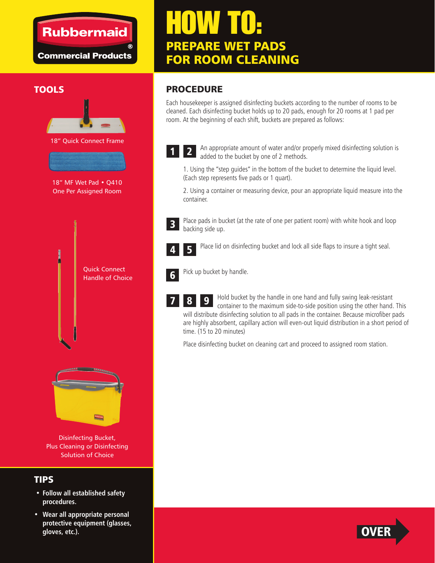### **Rubbermaid**

**Commercial Products** 

# HOW TO: PREPARE WET PADS FOR ROOM CLEANING

#### **TOOLS**



Disinfecting Bucket, Plus Cleaning or Disinfecting Solution of Choice

#### TIPS

- **Follow all established safety procedures.**
- **Wear all appropriate personal protective equipment (glasses, gloves, etc.).**

#### PROCEDURE

Each housekeeper is assigned disinfecting buckets according to the number of rooms to be cleaned. Each disinfecting bucket holds up to 20 pads, enough for 20 rooms at 1 pad per room. At the beginning of each shift, buckets are prepared as follows:



An appropriate amount of water and/or properly mixed disinfecting solution is added to the bucket by one of 2 methods. 2

1. Using the "step guides" in the bottom of the bucket to determine the liquid level. (Each step represents five pads or 1 quart).

2. Using a container or measuring device, pour an appropriate liquid measure into the container.



Place pads in bucket (at the rate of one per patient room) with white hook and loop backing side up.



Place lid on disinfecting bucket and lock all side flaps to insure a tight seal.



7

Pick up bucket by handle.

Hold bucket by the handle in one hand and fully swing leak-resistant container to the maximum side-to-side position using the other hand. This will distribute disinfecting solution to all pads in the container. Because microfiber pads are highly absorbent, capillary action will even-out liquid distribution in a short period of time. (15 to 20 minutes) 9

Place disinfecting bucket on cleaning cart and proceed to assigned room station.